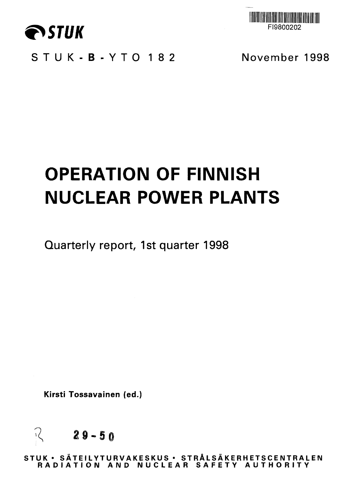



**STUK-B-YT O 18 2 November 1998**

# **OPERATION OF FINNISH NUCLEAR POWER PLANTS**

**Quarterly report, 1st quarter 1998**

**Kirsti Tossavainen (ed.)**



**STU K • SATEILYTURVAKESKU S • STRAL S A KE RH ETSC E NTR ALE N RADIATIO N AN D NUCLEA R SAFET Y AUTHORIT Y**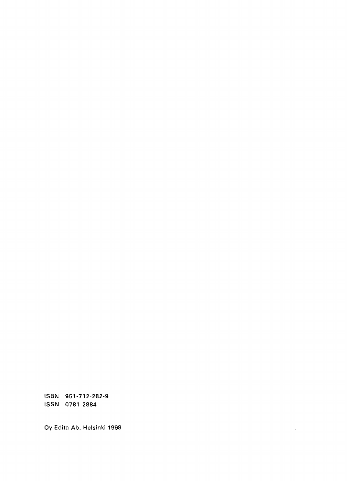ISBN 951-712-282-9 ISSN 0781-2884

Oy Edita Ab, Helsinki 1998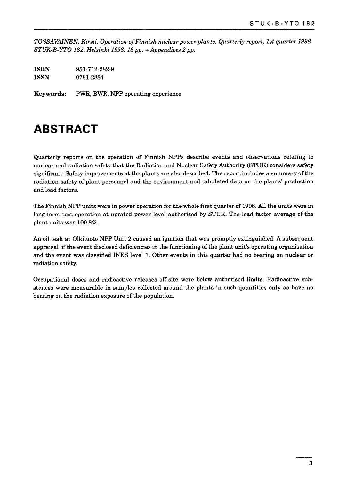*TOSSAVAINEN, Kirsti. Operation of Finnish nuclear power plants. Quarterly report, 1st quarter 1998. STUK-B-YTO 182. Helsinki 1998. 18 pp. + Appendices 2 pp.*

| ISBN | 951-712-282-9 |
|------|---------------|
| ISSN | 0781-2884     |

**Keywords:** PWR, BWR, NPP operating experience

### **ABSTRACT**

Quarterly reports on the operation of Finnish NPPs describe events and observations relating to nuclear and radiation safety that the Radiation and Nuclear Safety Authority (STUK) considers safety significant. Safety improvements at the plants are also described. The report includes a summary of the radiation safety of plant personnel and the environment and tabulated data on the plants' production and load factors.

The Finnish NPP units were in power operation for the whole first quarter of 1998. All the units were in long-term test operation at uprated power level authorised by STUK. The load factor average of the plant units was 100.8%.

An oil leak at Olkiluoto NPP Unit 2 caused an ignition that was promptly extinguished. A subsequent appraisal of the event disclosed deficiencies in the functioning of the plant unit's operating organisation and the event was classified INES level 1. Other events in this quarter had no bearing on nuclear or radiation safety.

Occupational doses and radioactive releases off-site were below authorised limits. Radioactive substances were measurable in samples collected around the plants in such quantities only as have no bearing on the radiation exposure of the population.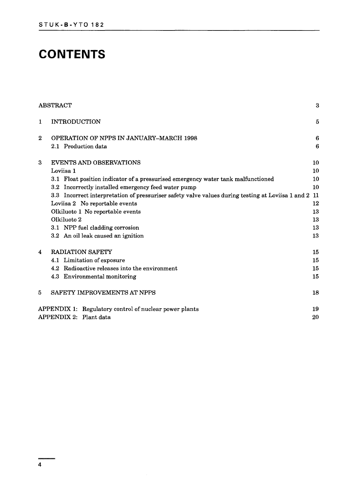## **CONTENTS**

|              | ABSTRACT                                                                                          | 3               |
|--------------|---------------------------------------------------------------------------------------------------|-----------------|
| $\mathbf{1}$ | <b>INTRODUCTION</b>                                                                               | 5               |
| $\bf{2}$     | OPERATION OF NPPS IN JANUARY-MARCH 1998                                                           | $6\phantom{1}6$ |
|              | 2.1 Production data                                                                               | $6\phantom{1}6$ |
| 3            | <b>EVENTS AND OBSERVATIONS</b>                                                                    | 10              |
|              | Loviisa 1                                                                                         | 10              |
|              | 3.1 Float position indicator of a pressurised emergency water tank malfunctioned                  | 10              |
|              | 3.2 Incorrectly installed emergency feed water pump                                               | 10              |
|              | 3.3 Incorrect interpretation of pressuriser safety valve values during testing at Loviisa 1 and 2 | 11              |
|              | Loviisa 2 No reportable events                                                                    | 12              |
|              | Olkiluoto 1 No reportable events                                                                  | 13              |
|              | Olkiluoto 2                                                                                       | 13              |
|              | 3.1 NPP fuel cladding corrosion                                                                   | 13              |
|              | 3.2 An oil leak caused an ignition                                                                | 13              |
| 4            | <b>RADIATION SAFETY</b>                                                                           | 15              |
|              | 4.1 Limitation of exposure                                                                        | 15              |
|              | 4.2 Radioactive releases into the environment                                                     | 15              |
|              | 4.3 Environmental monitoring                                                                      | 15              |
| 5            | SAFETY IMPROVEMENTS AT NPPS                                                                       | 18              |
|              | APPENDIX 1: Regulatory control of nuclear power plants                                            | 19              |
|              | APPENDIX 2: Plant data                                                                            | 20              |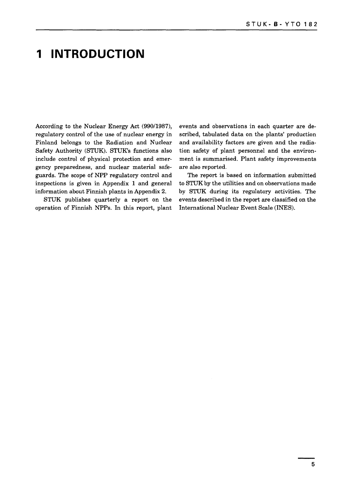### **1 INTRODUCTION**

According to the Nuclear Energy Act (990/1987), regulatory control of the use of nuclear energy in Finland belongs to the Radiation and Nuclear Safety Authority (STUK). STUK's functions also include control of physical protection and emergency preparedness, and nuclear material safeguards. The scope of NPP regulatory control and inspections is given in Appendix 1 and general information about Finnish plants in Appendix 2.

STUK publishes quarterly a report on the operation of Finnish NPPs. In this report, plant events and observations in each quarter are described, tabulated data on the plants' production and availability factors are given and the radiation safety of plant personnel and the environment is summarised. Plant safety improvements are also reported.

The report is based on information submitted to STUK by the utilities and on observations made by STUK during its regulatory activities. The events described in the report are classified on the International Nuclear Event Scale (INES).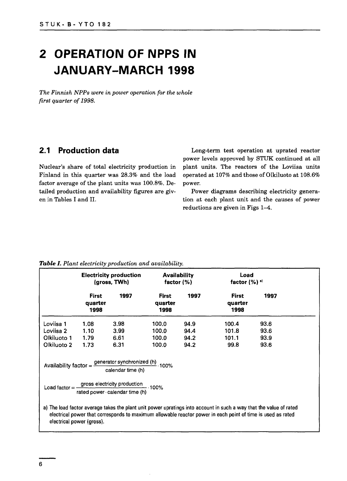## **2 OPERATION OF NPPS IN JANUARY-MARCH 1998**

*The Finnish NPPs were in power operation for the whole first quarter of 1998.*

#### **2.1 Production data**

Nuclear's share of total electricity production in Finland in this quarter was 28.3% and the load factor average of the plant units was 100.8%. Detailed production and availability figures are given in Tables I and II.

Long-term test operation at uprated reactor power levels approved by STUK continued at all plant units. The reactors of the Loviisa units operated at 107% and those of Olkiluoto at 108.6% power.

Power diagrams describing electricity generation at each plant unit and the causes of power reductions are given in Figs 1—4.

| (gross, TWh)                                                                                               | <b>Availability</b><br>factor $(% )$ |                                                                                     | Load<br>factor $(%)$ <sup>a)</sup> |                                                                                                                                                                                                                                   |
|------------------------------------------------------------------------------------------------------------|--------------------------------------|-------------------------------------------------------------------------------------|------------------------------------|-----------------------------------------------------------------------------------------------------------------------------------------------------------------------------------------------------------------------------------|
| <b>First</b><br>1997<br>quarter<br>1998                                                                    | <b>First</b><br>quarter<br>1998      | 1997                                                                                | <b>First</b><br>quarter<br>1998    | 1997                                                                                                                                                                                                                              |
| 1.08<br>3.98                                                                                               | 100,0                                | 94.9                                                                                | 100.4                              | 93.6                                                                                                                                                                                                                              |
| 1.10<br>3.99                                                                                               | 100.0                                | 94.4                                                                                | 101.8                              | 93.6                                                                                                                                                                                                                              |
| 1.79<br>6.61                                                                                               | 100.0                                | 94.2                                                                                | 101.1                              | 93.9                                                                                                                                                                                                                              |
| 6.31                                                                                                       | 100.0                                | 94.2                                                                                | 99.8                               | 93.6                                                                                                                                                                                                                              |
| Availability factor = $\frac{\text{generator synchronized (h)}}{\text{error}}$ . 100%<br>calendar time (h) |                                      |                                                                                     |                                    |                                                                                                                                                                                                                                   |
| electrical power (gross).                                                                                  |                                      | Load factor = $\frac{gross$ electricity production<br>rated power calendar time (h) |                                    | a) The load factor average takes the plant unit power upratings into account in such a way that the value of rated<br>electrical power that corresponds to maximum allowable reactor power in each point of time is used as rated |

#### *Table I. Plant electricity production and availability.*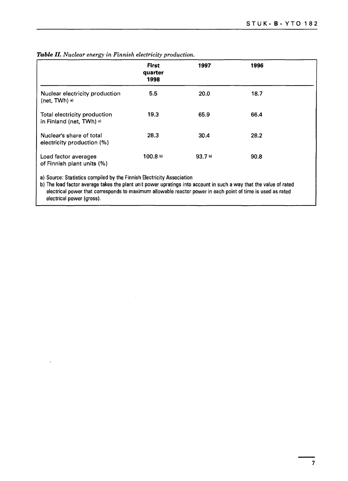|                                                                       | <b>First</b><br>quarter<br>1998 | 1997    | 1996 |  |
|-----------------------------------------------------------------------|---------------------------------|---------|------|--|
| Nuclear electricity production<br>(net, TWh) a)                       | 5.5                             | 20.0    | 18.7 |  |
| Total electricity production<br>in Finland (net, TWh) a)              | 19.3                            | 65.9    | 66.4 |  |
| Nuclear's share of total<br>electricity production (%)                | 28.3                            | 30.4    | 28.2 |  |
| Load factor averages<br>of Finnish plant units (%)                    | 100.8 b)                        | 93.7 b) | 90.8 |  |
| a) Source: Statistics compiled by the Finnish Electricity Association |                                 |         |      |  |

#### Table II. Nuclear energy in Finnish electricity production.

b) The load factor average takes the plant unit power upratings into account in such a way that the value of rated

electrical power that corresponds to maximum allowable reactor power in each point of time is used as ratedelectrical power (gross).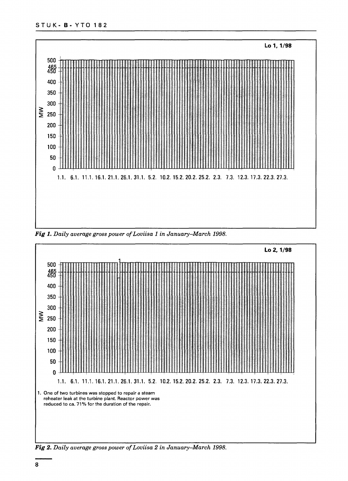

Fig 1. Daily average gross power of Loviisa 1 in January-March 1998.



Fig 2. Daily average gross power of Loviisa 2 in January-March 1998.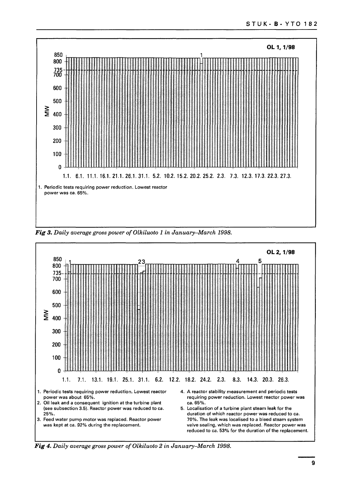

Fig 3. Daily average gross power of Olkiluoto 1 in January-March 1998.



Fig 4. Daily average gross power of Olkiluoto 2 in January-March 1998.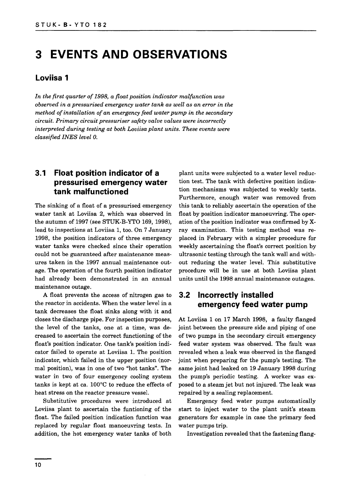### **3 EVENTS AND OBSERVATIONS**

#### **Loviisa 1**

*In the first quarter of 1998, a float position indicator malfunction was observed in a pressurised emergency water tank as well as an error in the method of installation of an emergency feed water pump in the secondary circuit. Primary circuit pressuriser safety valve values were incorrectly interpreted during testing at both Loviisa plant units. These events were classified INES level 0.*

#### **3.1 Float position indicator of a pressurised emergency water tank malfunctioned**

The sinking of a float of a pressurised emergency water tank at Loviisa 2, which was observed in the autumn of 1997 (see STUK-B-YTO 169, 1998), lead to inspections at Loviisa 1, too. On 7 January 1998, the position indicators of three emergency water tanks were checked since their operation could not be guaranteed after maintenance measures taken in the 1997 annual maintenance outage. The operation of the fourth position indicator had already been demonstrated in an annual maintenance outage.

A float prevents the access of nitrogen gas to the reactor in accidents. When the water level in a tank decreases the float sinks along with it and closes the discharge pipe. For inspection purposes, the level of the tanks, one at a time, was decreased to ascertain the correct functioning of the float's position indicator. One tank's position indicator failed to operate at Loviisa 1. The position indicator, which failed in the upper position (normal position), was in one of two "hot tanks". The water in two of four emergency cooling system tanks is kept at ca. 100°C to reduce the effects of heat stress on the reactor pressure vessel.

Substitutive procedures were introduced at Loviisa plant to ascertain the funtioning of the float. The failed position indication function was replaced by regular float manoeuvring tests. In addition, the hot emergency water tanks of both

plant units were subjected to a water level reduction test. The tank with defective position indication mechanisms was subjected to weekly tests. Furthermore, enough water was removed from this tank to reliably ascertain the operation of the float by position indicator manoeuvring. The operation of the position indicator was confirmed by Xray examination. This testing method was replaced in February with a simpler procedure for weekly ascertaining the float's correct position by ultrasonic testing through the tank wall and without reducing the water level. This substitutive procedure will be in use at both Loviisa plant units until the 1998 annual maintenance outages.

#### **3.2 Incorrectly installed emergency feed water pump**

At Loviisa 1 on 17 March 1998, a faulty flanged joint between the pressure side and piping of one of two pumps in the secondary circuit emergency feed water system was observed. The fault was revealed when a leak was observed in the flanged joint when preparing for the pump's testing. The same joint had leaked on 19 January 1998 during the pump's periodic testing. A worker was exposed to a steam jet but not injured. The leak was repaired by a sealing replacement.

Emergency feed water pumps automatically start to inject water to the plant unit's steam generators for example in case the primary feed water pumps trip.

Investigation revealed that the fastening flang-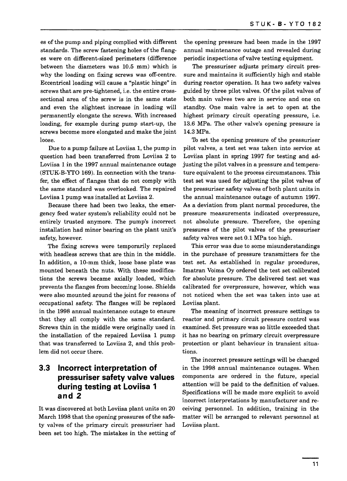es of the pump and piping complied with different standards. The screw fastening holes of the flanges were on different-sized perimeters (difference between the diameters was 10.5 mm) which is why the loading on fixing screws was off-centre. Eccentrical loading will cause a "plastic hinge" in screws that are pre-tightened, i.e. the entire crosssectional area of the screw is in the same state and even the slightest increase in loading will permanently elongate the screws. With increased loading, for example during pump start-up, the screws become more elongated and make the joint loose.

Due to a pump failure at Loviisa 1, the pump in question had been transferred from Loviisa 2 to Loviisa 1 in the 1997 annual maintenance outage (STUK-B-YTO 169). In connection with the transfer, the effect of flanges that do not comply with the same standard was overlooked. The repaired Loviisa 1 pump was installed at Loviisa 2.

Because there had been two leaks, the emergency feed water system's reliability could not be entirely trusted anymore. The pump's incorrect installation had minor bearing on the plant unit's safety, however.

The fixing screws were temporarily replaced with headless screws that are thin in the middle. In addition, a 10-mm thick, loose base plate was mounted beneath the nuts. With these modifications the screws became axially loaded, which prevents the flanges from becoming loose. Shields were also mounted around the joint for reasons of occupational safety. The flanges will be replaced in the 1998 annual maintenance outage to ensure that they all comply with the same standard. Screws thin in the middle were originally used in the installation of the repaired Loviisa 1 pump that was transferred to Loviisa 2, and this problem did not occur there.

#### **3.3 Incorrect interpretation of pressuriser safety valve values during testing at Loviisa 1 and 2**

It was discovered at both Loviisa plant units on 20 March 1998 that the opening pressures of the safety valves of the primary circuit pressuriser had been set too high. The mistakes in the setting of the opening pressure had been made in the 1997 annual maintenance outage and revealed during periodic inspections of valve testing equipment.

The pressuriser adjusts primary circuit pressure and maintains it sufficiently high and stable during reactor operation. It has two safety valves guided by three pilot valves. Of the pilot valves of both main valves two are in service and one on standby. One main valve is set to open at the highest primary circuit operating pressure, i.e. 13.6 MPa. The other valve's opening pressure is 14.3 MPa.

To set the opening pressure of the pressuriser pilot valves, a test set was taken into service at Loviisa plant in spring 1997 for testing and adjusting the pilot valves in a pressure and temperature equivalent to the process circumstances. This test set was used for adjusting the pilot valves of the pressuriser safety valves of both plant units in the annual maintenance outage of autumn 1997. As a deviation from plant normal procedures, the pressure measurements indicated overpressure, not absolute pressure. Therefore, the opening pressures of the pilot valves of the pressuriser safety valves were set 0.1 MPa too high.

This error was due to some misunderstandings in the purchase of pressure transmitters for the test set. As established in regular procedures, Imatran Voima Oy ordered the test set calibrated for absolute pressure. The delivered test set was calibrated for overpressure, however, which was not noticed when the set was taken into use at Loviisa plant.

The meaning of incorrect pressure settings to reactor and primary circuit pressure control was examined. Set pressure was so little exceeded that it has no bearing on primary circuit overpressure protection or plant behaviour in transient situations.

The incorrect pressure settings will be changed in the 1998 annual maintenance outages. When components are ordered in the future, special attention will be paid to the definition of values. Specifications will be made more explicit to avoid incorrect interpretations by manufacturer and receiving personnel. In addition, training in the matter will be arranged to relevant personnel at Loviisa plant.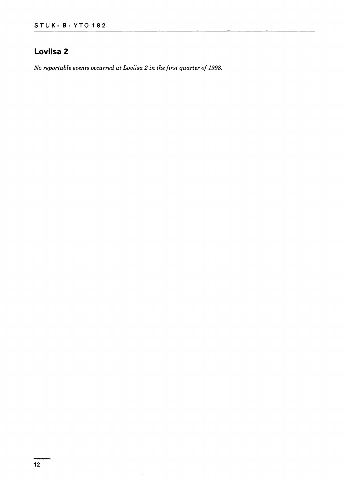### **Loviisa 2**

*No reportable events occurred at Loviisa 2 in the first quarter of 1998.*

 $\bar{\mathcal{A}}$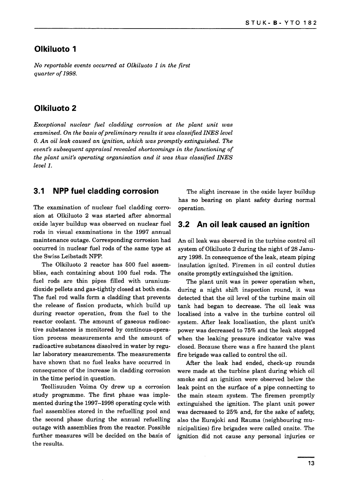#### **Olkiluoto 1**

*No reportable events occurred at Olkiluoto 1 in the first quarter of 1998.*

#### **Olkiluoto 2**

*Exceptional nuclear fuel cladding corrosion at the plant unit was examined. On the basis of preliminary results it was classified INES level 0. An oil leak caused an ignition, which was promptly extinguished. The event's subsequent appraisal revealed shortcomings in the functioning of the plant unit's operating organisation and it was thus classified INES level 1.*

#### **3.1 NPP fuel cladding corrosion**

The examination of nuclear fuel cladding corrosion at Olkiluoto 2 was started after abnormal oxide layer buildup was observed on nuclear fuel rods in visual examinations in the 1997 annual maintenance outage. Corresponding corrosion had occurred in nuclear fuel rods of the same type at the Swiss Leibstadt NPP.

The Olkiluoto 2 reactor has 500 fuel assemblies, each containing about 100 fuel rods. The fuel rods are thin pipes filled with uraniumdioxide pellets and gas-tightly closed at both ends. The fuel rod walls form a cladding that prevents the release of fission products, which build up during reactor operation, from the fuel to the reactor coolant. The amount of gaseous radioactive substances is monitored by continous-operation process measurements and the amount of radioactive substances dissolved in water by regular laboratory measurements. The measurements have shown that no fuel leaks have occurred in consequence of the increase in cladding corrosion in the time period in question.

Teollisuuden Voima Oy drew up a corrosion study programme. The first phase was implemented during the 1997-1998 operating cycle with fuel assemblies stored in the refuelling pool and the second phase during the annual refuelling outage with assemblies from the reactor. Possible further measures will be decided on the basis of the results.

The slight increase in the oxide layer buildup has no bearing on plant safety during normal operation.

#### **3.2 An oil leak caused an ignition**

An oil leak was observed in the turbine control oil system of Olkiluoto 2 during the night of 28 January 1998. In consequence of the leak, steam piping insulation ignited. Firemen in oil control duties onsite promptly extinguished the ignition.

The plant unit was in power operation when, during a night shift inspection round, it was detected that the oil level of the turbine main oil tank had began to decrease. The oil leak was localised into a valve in the turbine control oil system. After leak localisation, the plant unit's power was decreased to 75% and the leak stopped when the leaking pressure indicator valve was closed. Because there was a fire hazard the plant fire brigade was called to control the oil.

After the leak had ended, check-up rounds were made at the turbine plant during which oil smoke and an ignition were observed below the leak point on the surface of a pipe connecting to the main steam system. The firemen promptly extinguished the ignition. The plant unit power was decreased to 25% and, for the sake of safety, also the Eurajoki and Rauma (neighbouring municipalities) fire brigades were called onsite. The ignition did not cause any personal injuries or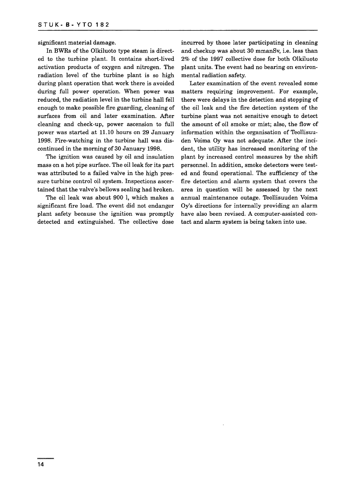significant material damage.

In BWRs of the Olkiluoto type steam is directed to the turbine plant. It contains short-lived activation products of oxygen and nitrogen. The radiation level of the turbine plant is so high during plant operation that work there is avoided during full power operation. When power was reduced, the radiation level in the turbine hall fell enough to make possible fire guarding, cleaning of surfaces from oil and later examination. After cleaning and check-up, power ascension to full power was started at 11.10 hours on 29 January 1998. Fire-watching in the turbine hall was discontinued in the morning of 30 January 1998.

The ignition was caused by oil and insulation mass on a hot pipe surface. The oil leak for its part was attributed to a failed valve in the high pressure turbine control oil system. Inspections ascertained that the valve's bellows sealing had broken.

The oil leak was about 900 1, which makes a significant fire load. The event did not endanger plant safety because the ignition was promptly detected and extinguished. The collective dose incurred by those later participating in cleaning and checkup was about 30 mmanSv, i.e. less than 2% of the 1997 collective dose for both Olkiluoto plant units. The event had no bearing on environmental radiation safety.

Later examination of the event revealed some matters requiring improvement. For example, there were delays in the detection and stopping of the oil leak and the fire detection system of the turbine plant was not sensitive enough to detect the amount of oil smoke or mist; also, the flow of information within the organisation of Teollisuuden Voima Oy was not adequate. After the incident, the utility has increased monitoring of the plant by increased control measures by the shift personnel. In addition, smoke detectors were tested and found operational. The sufficiency of the fire detection and alarm system that covers the area in question will be assessed by the next annual maintenance outage. Teollisuuden Voima Oy's directions for internally providing an alarm have also been revised. A computer-assisted contact and alarm system is being taken into use.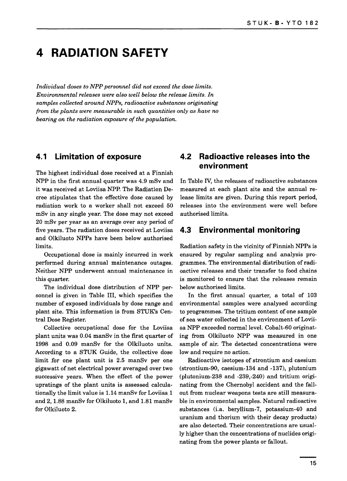### **4 RADIATION SAFETY**

*Individual doses to NPP personnel did not exceed the dose limits. Environmental releases were also well below the release limits. In samples collected around NPPs, radioactive substances originating from the plants were measurable in such quantities only as have no bearing on the radiation exposure of the population.*

#### **4.1 Limitation of exposure**

The highest individual dose received at a Finnish NPP in the first annual quarter was 4.9 mSv and it was received at Loviisa NPP. The Radiation Decree stipulates that the effective dose caused by radiation work to a worker shall not exceed 50 mSv in any single year. The dose may not exceed 20 mSv per year as an average over any period of five years. The radiation doses received at Loviisa and Olkiluoto NPPs have been below authorised limits.

Occupational dose is mainly incurred in work performed during annual maintenance outages. Neither NPP underwent annual maintenance in this quarter.

The individual dose distribution of NPP personnel is given in Table III, which specifies the number of exposed individuals by dose range and plant site. This information is from STUK's Central Dose Register.

Collective occupational dose for the Loviisa plant units was 0.04 manSv in the first quarter of 1998 and 0.09 manSv for the Olkiluoto units. According to a STUK Guide, the collective dose limit for one plant unit is 2.5 manSv per one gigawatt of net electrical power averaged over two successive years. When the effect of the power upratings of the plant units is assessed calculationally the limit value is 1.14 manSv for Loviisa 1 and 2,1.88 manSv for Olkiluoto 1, and 1.81 manSv for Olkiluoto 2.

#### **4.2 Radioactive releases into the environment**

In Table *TV,* the releases of radioactive substances measured at each plant site and the annual release limits are given. During this report period, releases into the environment were well before authorised limits.

#### **4.3 Environmental monitoring**

Radiation safety in the vicinity of Finnish NPPs is ensured by regular sampling and analysis programmes. The environmental distribution of radioactive releases and their transfer to food chains is monitored to ensure that the releases remain below authorised limits.

In the first annual quarter, a total of 103 environmental samples were analysed according to programmes. The tritium content of one sample of sea water collected in the environment of Loviisa NPP exceeded normal level. Cobalt-60 originating from Olkiluoto NPP was measured in one sample of air. The detected concentrations were low and require no action.

Radioactive isotopes of strontium and caesium (strontium-90, caesium-134 and -137), plutonium (plutonium-238 and -239,-240) and tritium originating from the Chernobyl accident and the fallout from nuclear weapons tests are still measurable in environmental samples. Natural radioactive substances (i.a. beryllium-7, potassium-40 and uranium and thorium with their decay products) are also detected. Their concentrations are usually higher than the concentrations of nuclides originating from the power plants or fallout.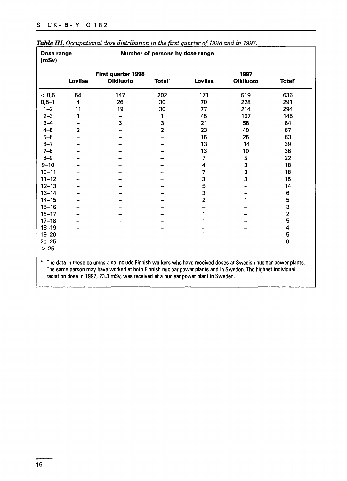|           | First quarter 1998 |                  |                         | 1997           |                  |                         |
|-----------|--------------------|------------------|-------------------------|----------------|------------------|-------------------------|
|           | Loviisa            | <b>Olkiluoto</b> | Total <sup>*</sup>      | Loviisa        | <b>Olkiluoto</b> | Total'                  |
| < 0.5     | 54                 | 147              | 202                     | 171            | 519              | 636                     |
| $0,5 - 1$ | 4                  | 26               | 30                      | 70             | 228              | 291                     |
| $1 - 2$   | 11                 | 19               | 30                      | 77             | 214              | 294                     |
| $2 - 3$   | 1                  |                  | 1                       | 45             | 107              | 145                     |
| $3 - 4$   |                    | 3                | 3                       | 21             | 58               | 84                      |
| $4 - 5$   | $\overline{2}$     |                  | $\overline{\mathbf{2}}$ | 23             | 40               | 67                      |
| $5-6$     |                    |                  |                         | 15             | 25               | 63                      |
| $6 - 7$   |                    |                  |                         | 13             | 14               | 39                      |
| $7 - 8$   |                    |                  |                         | 13             | 10               | 38                      |
| $8 - 9$   |                    |                  |                         | 7              | 5                | 22                      |
| $9 - 10$  |                    |                  |                         | 4              | 3                | 18                      |
| $10 - 11$ |                    |                  |                         | 7              | 3                | 18                      |
| $11 - 12$ |                    |                  |                         | 3              | 3                | 15                      |
| $12 - 13$ |                    |                  |                         | 5              |                  | 14                      |
| $13 - 14$ |                    |                  |                         | 3              |                  | 6                       |
| $14 - 15$ |                    |                  |                         | $\overline{2}$ |                  | 5                       |
| $15 - 16$ |                    |                  |                         |                |                  | 3                       |
| $16 - 17$ |                    |                  |                         | 1              |                  | $\overline{\mathbf{c}}$ |
| $17 - 18$ |                    |                  |                         | 1              |                  | 5                       |
| $18 - 19$ |                    |                  |                         |                |                  | 4                       |
| $19 - 20$ |                    |                  |                         | 1              |                  | 5                       |
| $20 - 25$ |                    |                  |                         |                |                  | 6                       |
| $>25$     |                    |                  |                         |                |                  |                         |

Table **III.** Occupational dose distribution in the first quarter of 1998 and in 1997.

The same person may have worked at both Finnish nuclear power plants and in Sweden. The highest individual radiation dose in 1997, 23.3 mSv, was received at a nuclear power plant in Sweden.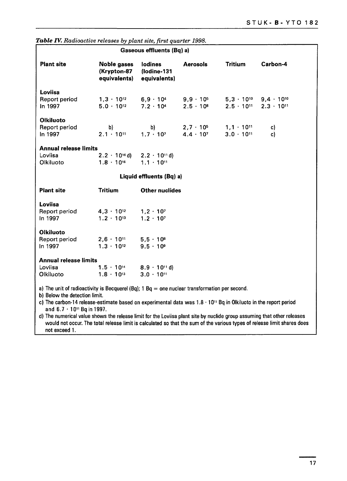| Gaseous effluents (Bq) a)                            |                                                                                                 |                                                        |                                                            |                     |                                                                         |
|------------------------------------------------------|-------------------------------------------------------------------------------------------------|--------------------------------------------------------|------------------------------------------------------------|---------------------|-------------------------------------------------------------------------|
| <b>Plant site</b>                                    | <b>Noble gases</b><br>(Krypton-87<br>equivalents)                                               | lodines<br>(lodine-131<br>equivalents)                 | <b>Aerosols</b>                                            | <b>Tritium</b>      | Carbon-4                                                                |
| Loviisa<br>Report period<br>In 1997                  | $1,3 \cdot 10^{12}$<br>$5.0 \cdot 10^{12}$                                                      | $7.2 \cdot 10^{4}$                                     | $6,9 \cdot 10^4$ $9,9 \cdot 10^5$<br>$2.5 \cdot 10^{8}$    | $2.5 \cdot 10^{11}$ | $5,3 \cdot 10^{10}$ 9,4 $\cdot$ 10 <sup>10</sup><br>$2.3 \cdot 10^{11}$ |
| <b>Olkiluoto</b><br>Report period<br>In 1997         | b)<br>$2.1 \cdot 10^{11}$                                                                       | b)<br>$1.7 \cdot 10^{7}$                               | $2,7 \cdot 10^5$ $1,1 \cdot 10^{11}$<br>$4.4 \cdot 10^{7}$ | $3.0 \cdot 10^{11}$ | c)<br>c)                                                                |
| <b>Annual release limits</b><br>Loviisa<br>Olkiluoto | $2.2 \cdot 10^{16}$ d)<br>$1.8 \cdot 10^{16}$                                                   | $2.2 \cdot 10$ <sup>11</sup> d)<br>$1.1 \cdot 10^{11}$ |                                                            |                     |                                                                         |
|                                                      |                                                                                                 | Liquid effluents (Bq) a)                               |                                                            |                     |                                                                         |
| <b>Plant site</b>                                    | <b>Tritium</b>                                                                                  | <b>Other nuclides</b>                                  |                                                            |                     |                                                                         |
| Loviisa<br>Report period<br>In 1997                  | $4,3 \cdot 10^{12}$<br>$1.2 \cdot 10^{13}$                                                      | $1.2 \cdot 10^{7}$<br>$1.2 \cdot 10^{7}$               |                                                            |                     |                                                                         |
| <b>Olkiluoto</b><br>Report period<br>In 1997         | $2,6 \cdot 10^{11}$<br>$1.3 \cdot 10^{12}$                                                      | $5,5 \cdot 10^{8}$<br>$9.5 \cdot 10^9$                 |                                                            |                     |                                                                         |
| <b>Annual release limits</b><br>Loviisa<br>Olkiluoto | $1.5 \cdot 10^{14}$<br>$1.8 \cdot 10^{13}$                                                      | $8.9 \cdot 10^{11}$ d)<br>$3.0 \cdot 10^{11}$          |                                                            |                     |                                                                         |
| b) Below the detection limit.                        | a) The unit of radioactivity is Becquerel (Bq); $1$ Bq = one nuclear transformation per second. |                                                        |                                                            |                     |                                                                         |

*Table IV. Radioactive releases by plant site, first quarter 1998.*

c) The carbon-14 release-estimate based on experimental data was 1.8 • 10" Bq in Olkiluoto in the report period and 6.7 • 10" Bq in 1997.

d) The numerical value shows the release limit for the Loviisa plant site by nuclide group assuming that other releases would not occur. The total release limit is calculated so that the sum of the various types of release limit shares does not exceed 1.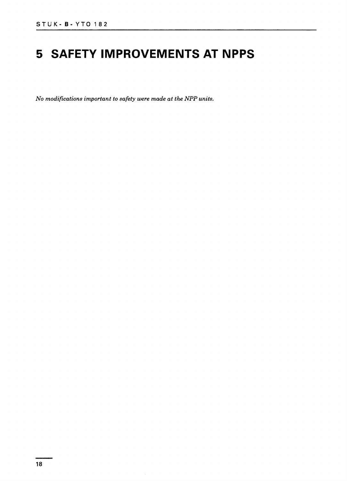## **5 SAFETY IMPROVEMENTS AT NPPS**

*No modifications important to safety were made at the NPP units.*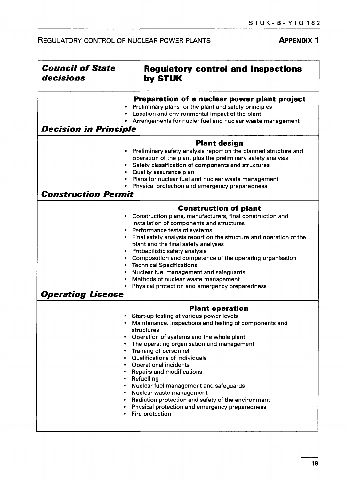### REGULATORY CONTROL OF NUCLEAR POWER PLANTS **APPENDIX 1**

٦

| <b>Council of State</b><br>decisions | <b>Regulatory control and inspections</b><br>by STUK                                                                                                                                                                                                                                                                                                                                                                                                                                                                                                                                                    |  |  |  |  |
|--------------------------------------|---------------------------------------------------------------------------------------------------------------------------------------------------------------------------------------------------------------------------------------------------------------------------------------------------------------------------------------------------------------------------------------------------------------------------------------------------------------------------------------------------------------------------------------------------------------------------------------------------------|--|--|--|--|
|                                      | Preparation of a nuclear power plant project<br>Preliminary plans for the plant and safety principles<br>• Location and environmental impact of the plant<br>• Arrangements for nucler fuel and nuclear waste management                                                                                                                                                                                                                                                                                                                                                                                |  |  |  |  |
| <b>Decision in Principle</b>         |                                                                                                                                                                                                                                                                                                                                                                                                                                                                                                                                                                                                         |  |  |  |  |
| <b>Construction Permit</b>           | <b>Plant design</b><br>• Preliminary safety analysis report on the planned structure and<br>operation of the plant plus the preliminary safety analysis<br>• Safety classification of components and structures<br>• Quality assurance plan<br>Plans for nuclear fuel and nuclear waste management<br>• Physical protection and emergency preparedness                                                                                                                                                                                                                                                  |  |  |  |  |
|                                      | <b>Construction of plant</b>                                                                                                                                                                                                                                                                                                                                                                                                                                                                                                                                                                            |  |  |  |  |
| <b>Operating Licence</b>             | Construction plans, manufacturers, final construction and<br>installation of components and structures<br>• Performance tests of systems<br>• Final safety analysis report on the structure and operation of the<br>plant and the final safety analyses<br>Probabilistic safety analysis<br>• Composotion and competence of the operating organisation<br>• Technical Specifications<br>Nuclear fuel management and safeguards<br>Methods of nuclear waste management<br><b>Physical protection and emergency preparedness</b>                                                                          |  |  |  |  |
|                                      | <b>Plant operation</b>                                                                                                                                                                                                                                                                                                                                                                                                                                                                                                                                                                                  |  |  |  |  |
|                                      | • Start-up testing at various power levels<br>Maintenance, inspections and testing of components and<br>structures<br>Operation of systems and the whole plant<br>The operating organisation and management<br>Training of personnel<br>٠<br><b>Qualifications of individuals</b><br>٠<br><b>Operational incidents</b><br>٠<br><b>Repairs and modifications</b><br>۰<br>Refuelling<br>٠<br>Nuclear fuel management and safeguards<br>٠<br>Nuclear waste management<br>٠<br>Radiation protection and safety of the environment<br>٠<br>Physical protection and emergency preparedness<br>Fire protection |  |  |  |  |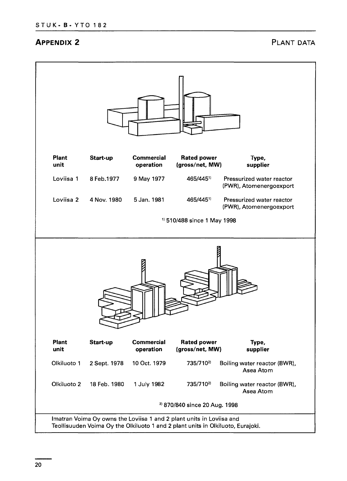#### **APPENDIX 2 PLANT DATA**

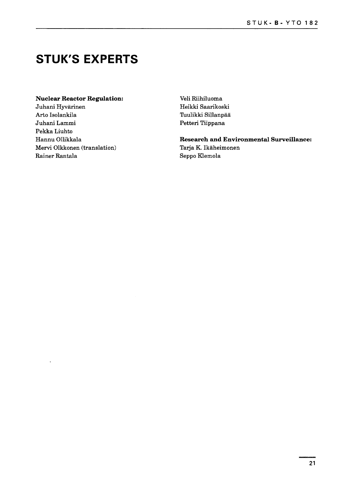### **STUK'S EXPERTS**

#### **Nuclear Reactor Regulation:**

Juhani Hyvarinen Arto Isolankila Juhani Lammi Pekka Liuhto Hannu Ollikkala Mervi Olkkonen (translation) Rainer Rantala

Veli Riihiluoma Heikki Saarikoski Tuulikki Sillanpää Petteri Tiippana

**Research and Environmental Surveillance:** Tarja K. Ikaheimonen Seppo Klemola